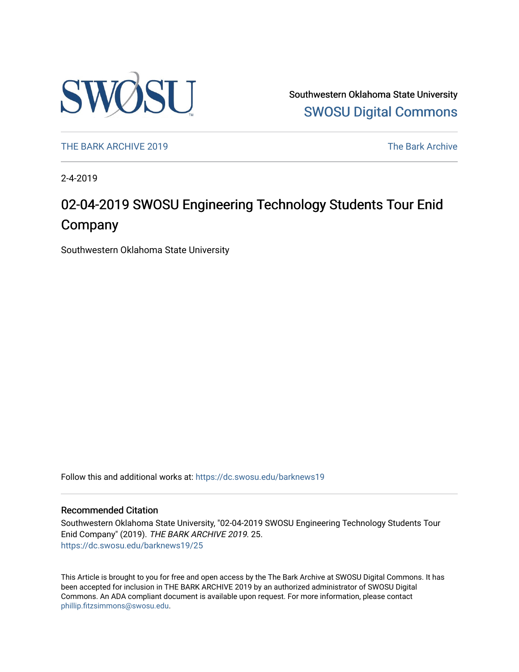

Southwestern Oklahoma State University [SWOSU Digital Commons](https://dc.swosu.edu/) 

[THE BARK ARCHIVE 2019](https://dc.swosu.edu/barknews19) The Bark Archive

2-4-2019

# 02-04-2019 SWOSU Engineering Technology Students Tour Enid Company

Southwestern Oklahoma State University

Follow this and additional works at: [https://dc.swosu.edu/barknews19](https://dc.swosu.edu/barknews19?utm_source=dc.swosu.edu%2Fbarknews19%2F25&utm_medium=PDF&utm_campaign=PDFCoverPages)

#### Recommended Citation

Southwestern Oklahoma State University, "02-04-2019 SWOSU Engineering Technology Students Tour Enid Company" (2019). THE BARK ARCHIVE 2019. 25. [https://dc.swosu.edu/barknews19/25](https://dc.swosu.edu/barknews19/25?utm_source=dc.swosu.edu%2Fbarknews19%2F25&utm_medium=PDF&utm_campaign=PDFCoverPages) 

This Article is brought to you for free and open access by the The Bark Archive at SWOSU Digital Commons. It has been accepted for inclusion in THE BARK ARCHIVE 2019 by an authorized administrator of SWOSU Digital Commons. An ADA compliant document is available upon request. For more information, please contact [phillip.fitzsimmons@swosu.edu](mailto:phillip.fitzsimmons@swosu.edu).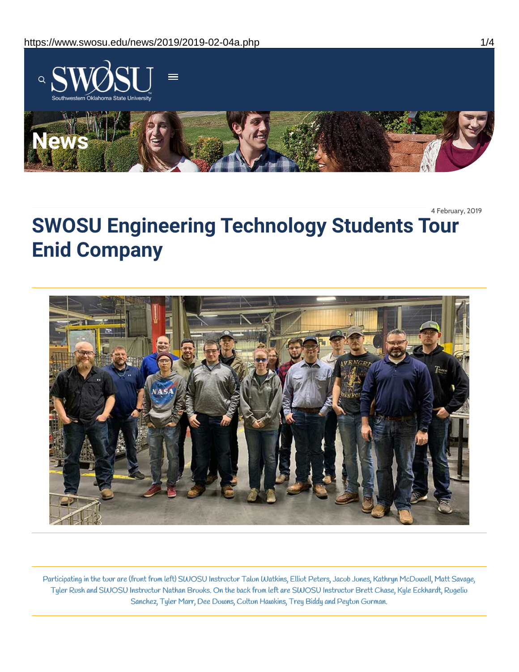

4 February, 2019

# **SWOSU Engineering Technology Students Tour Enid Company**



Participating in the tour are (front from left) SWOSU Instructor Talon Watkins, Elliot Peters, Jacob Jones, Kathryn McDowell, Matt Savage, Tyler Rush and SWOSU Instructor Nathan Brooks. On the back from left are SWOSU Instructor Brett Chase, Kyle Eckhardt, Rogelio Sanchez, Tyler Marr, Dee Downs, Colton Hawkins, Trey Biddy and Peyton Gorman.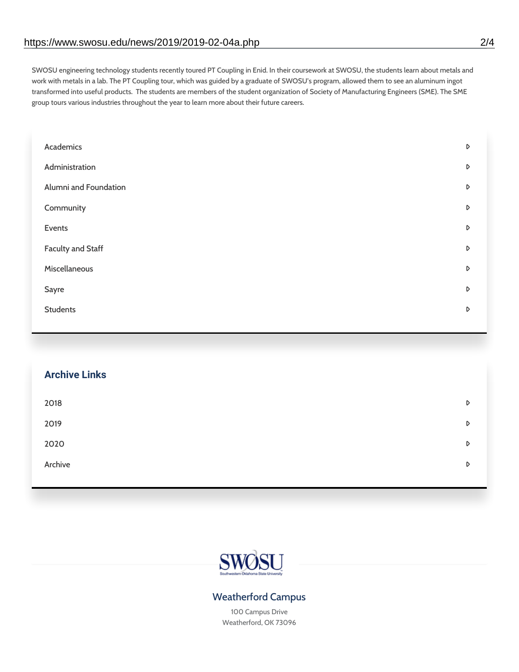SWOSU engineering technology students recently toured PT Coupling in Enid. In their coursework at SWOSU, the students learn about metals and work with metals in a lab. The PT Coupling tour, which was guided by a graduate of SWOSU's program, allowed them to see an aluminum ingot transformed into useful products. The students are members of the student organization of Society of Manufacturing Engineers (SME). The SME group tours various industries throughout the year to learn more about their future careers.

| Academics                | D |
|--------------------------|---|
| Administration           | D |
| Alumni and Foundation    | D |
| Community                | D |
| Events                   | D |
| <b>Faculty and Staff</b> | D |
| Miscellaneous            | D |
| Sayre                    | D |
| <b>Students</b>          | D |
|                          |   |

## **Archive Links**

| 2018    | D |
|---------|---|
| 2019    | D |
| 2020    | D |
| Archive | D |
|         |   |



### Weatherford Campus

100 Campus Drive Weatherford, OK 73096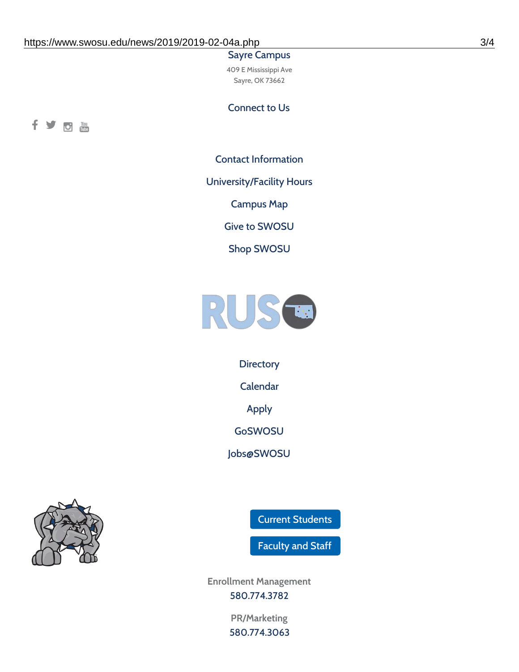#### Sayre Campus

409 E Mississippi Ave Sayre, OK 73662

Connect to Us



Contact [Information](https://www.swosu.edu/about/contact.php)

[University/Facility](https://www.swosu.edu/about/operating-hours.php) Hours

[Campus](https://map.concept3d.com/?id=768#!ct/10964,10214,10213,10212,10205,10204,10203,10202,10136,10129,10128,0,31226,10130,10201,10641,0) Map

Give to [SWOSU](https://standingfirmly.com/donate)

Shop [SWOSU](https://shopswosu.merchorders.com/)



**[Directory](https://www.swosu.edu/directory/index.php)** 

[Calendar](https://eventpublisher.dudesolutions.com/swosu/)

[Apply](https://www.swosu.edu/admissions/apply-to-swosu.php)

[GoSWOSU](https://qlsso.quicklaunchsso.com/home/1267)

[Jobs@SWOSU](https://swosu.csod.com/ux/ats/careersite/1/home?c=swosu)



Current [Students](https://bulldog.swosu.edu/index.php)

[Faculty](https://bulldog.swosu.edu/faculty-staff/index.php) and Staff

**Enrollment Management** [580.774.3782](tel:5807743782)

> **PR/Marketing** [580.774.3063](tel:5807743063)